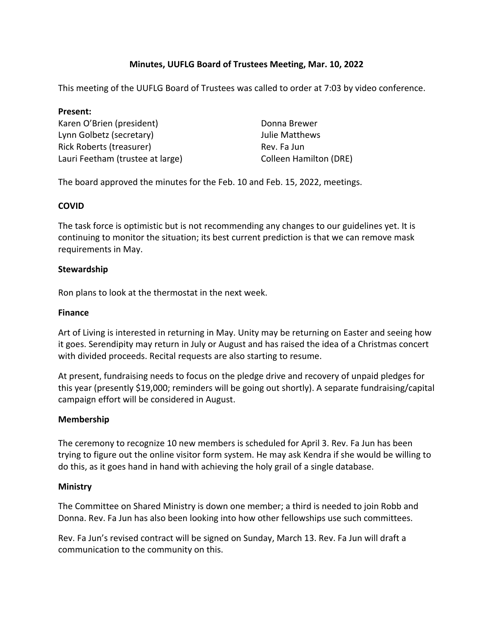# **Minutes, UUFLG Board of Trustees Meeting, Mar. 10, 2022**

This meeting of the UUFLG Board of Trustees was called to order at 7:03 by video conference.

# **Present:** Karen O'Brien (president) Lynn Golbetz (secretary) Rick Roberts (treasurer) Lauri Feetham (trustee at large)

Donna Brewer Julie Matthews Rev. Fa Jun Colleen Hamilton (DRE)

The board approved the minutes for the Feb. 10 and Feb. 15, 2022, meetings.

## **COVID**

The task force is optimistic but is not recommending any changes to our guidelines yet. It is continuing to monitor the situation; its best current prediction is that we can remove mask requirements in May.

### **Stewardship**

Ron plans to look at the thermostat in the next week.

### **Finance**

Art of Living is interested in returning in May. Unity may be returning on Easter and seeing how it goes. Serendipity may return in July or August and has raised the idea of a Christmas concert with divided proceeds. Recital requests are also starting to resume.

At present, fundraising needs to focus on the pledge drive and recovery of unpaid pledges for this year (presently \$19,000; reminders will be going out shortly). A separate fundraising/capital campaign effort will be considered in August.

### **Membership**

The ceremony to recognize 10 new members is scheduled for April 3. Rev. Fa Jun has been trying to figure out the online visitor form system. He may ask Kendra if she would be willing to do this, as it goes hand in hand with achieving the holy grail of a single database.

### **Ministry**

The Committee on Shared Ministry is down one member; a third is needed to join Robb and Donna. Rev. Fa Jun has also been looking into how other fellowships use such committees.

Rev. Fa Jun's revised contract will be signed on Sunday, March 13. Rev. Fa Jun will draft a communication to the community on this.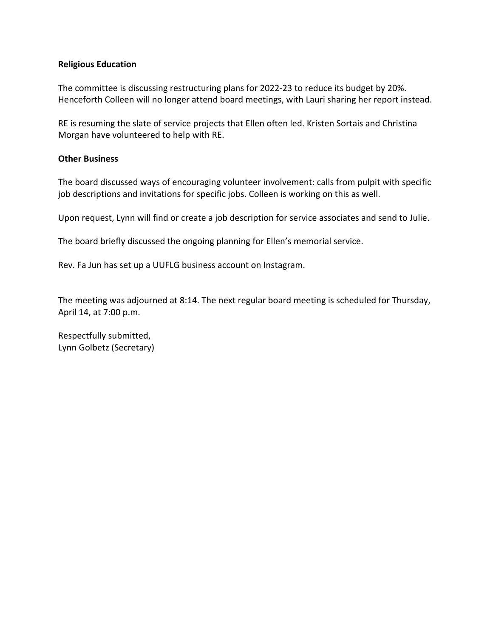#### **Religious Education**

The committee is discussing restructuring plans for 2022-23 to reduce its budget by 20%. Henceforth Colleen will no longer attend board meetings, with Lauri sharing her report instead.

RE is resuming the slate of service projects that Ellen often led. Kristen Sortais and Christina Morgan have volunteered to help with RE.

#### **Other Business**

The board discussed ways of encouraging volunteer involvement: calls from pulpit with specific job descriptions and invitations for specific jobs. Colleen is working on this as well.

Upon request, Lynn will find or create a job description for service associates and send to Julie.

The board briefly discussed the ongoing planning for Ellen's memorial service.

Rev. Fa Jun has set up a UUFLG business account on Instagram.

The meeting was adjourned at 8:14. The next regular board meeting is scheduled for Thursday, April 14, at 7:00 p.m.

Respectfully submitted, Lynn Golbetz (Secretary)